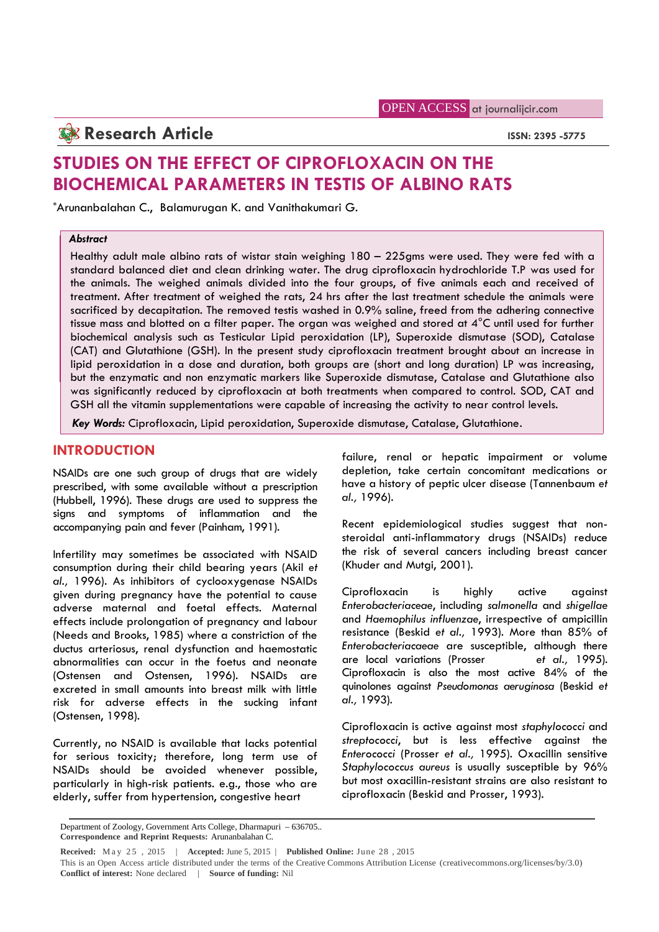# **Research Article ISSN: 2395 -5775**

# **STUDIES ON THE EFFECT OF CIPROFLOXACIN ON THE BIOCHEMICAL PARAMETERS IN TESTIS OF ALBINO RATS**

\*Arunanbalahan C., Balamurugan K. and Vanithakumari G.

### *Abstract*

Healthy adult male albino rats of wistar stain weighing 180 – 225gms were used. They were fed with a standard balanced diet and clean drinking water. The drug ciprofloxacin hydrochloride T.P was used for the animals. The weighed animals divided into the four groups, of five animals each and received of treatment. After treatment of weighed the rats, 24 hrs after the last treatment schedule the animals were sacrificed by decapitation. The removed testis washed in 0.9% saline, freed from the adhering connective tissue mass and blotted on a filter paper. The organ was weighed and stored at  $4^{\circ}$ C until used for further biochemical analysis such as Testicular Lipid peroxidation (LP), Superoxide dismutase (SOD), Catalase (CAT) and Glutathione (GSH). In the present study ciprofloxacin treatment brought about an increase in lipid peroxidation in a dose and duration, both groups are (short and long duration) LP was increasing, but the enzymatic and non enzymatic markers like Superoxide dismutase, Catalase and Glutathione also was significantly reduced by ciprofloxacin at both treatments when compared to control. SOD, CAT and GSH all the vitamin supplementations were capable of increasing the activity to near control levels.

*Key Words:* Ciprofloxacin, Lipid peroxidation, Superoxide dismutase, Catalase, Glutathione.

# **INTRODUCTION**

NSAIDs are one such group of drugs that are widely prescribed, with some available without a prescription (Hubbell, 1996). These drugs are used to suppress the signs and symptoms of inflammation and the accompanying pain and fever (Painham, 1991).

Infertility may sometimes be associated with NSAID consumption during their child bearing years (Akil *et al.,* 1996). As inhibitors of cyclooxygenase NSAIDs given during pregnancy have the potential to cause adverse maternal and foetal effects. Maternal effects include prolongation of pregnancy and labour (Needs and Brooks, 1985) where a constriction of the ductus arteriosus, renal dysfunction and haemostatic abnormalities can occur in the foetus and neonate (Ostensen and Ostensen, 1996). NSAIDs are excreted in small amounts into breast milk with little risk for adverse effects in the sucking infant (Ostensen, 1998).

Currently, no NSAID is available that lacks potential for serious toxicity; therefore, long term use of NSAIDs should be avoided whenever possible, particularly in high-risk patients. e.g., those who are elderly, suffer from hypertension, congestive heart

failure, renal or hepatic impairment or volume depletion, take certain concomitant medications or have a history of peptic ulcer disease (Tannenbaum *et al.,* 1996).

Recent epidemiological studies suggest that nonsteroidal anti-inflammatory drugs (NSAIDs) reduce the risk of several cancers including breast cancer (Khuder and Mutgi, 2001).

Ciprofloxacin is highly active against *Enterobacteriaceae*, including *salmonella* and *shigellae* and *Haemophilus influenzae*, irrespective of ampicillin resistance (Beskid *et al.,* 1993). More than 85% of *Enterobacteriacaeae* are susceptible, although there are local variations (Prosser *et al.,* 1995). Ciprofloxacin is also the most active 84% of the quinolones against *Pseudomonas aeruginosa* (Beskid *et al.,* 1993).

Ciprofloxacin is active against most *staphylococci* and *streptococci*, but is less effective against the *Enterococci* (Prosser *et al.,* 1995). Oxacillin sensitive *Staphylococcus aureus* is usually susceptible by 96% but most oxacillin-resistant strains are also resistant to ciprofloxacin (Beskid and Prosser, 1993).

Department of Zoology, Government Arts College, Dharmapuri – 636705.. **Correspondence and Reprint Requests:** Arunanbalahan C.

**Received:** M a y 2 5 , <sup>2015</sup> <sup>|</sup> **Accepted:** June 5, <sup>2015</sup> <sup>|</sup> **Published Online:** June <sup>28</sup> , <sup>2015</sup>

This is an Open Access article distributed under the terms of the Creative Commons Attribution License (creativecommons.org/licenses/by/3.0) **Conflict of interest:** None declared | **Source of funding:** Nil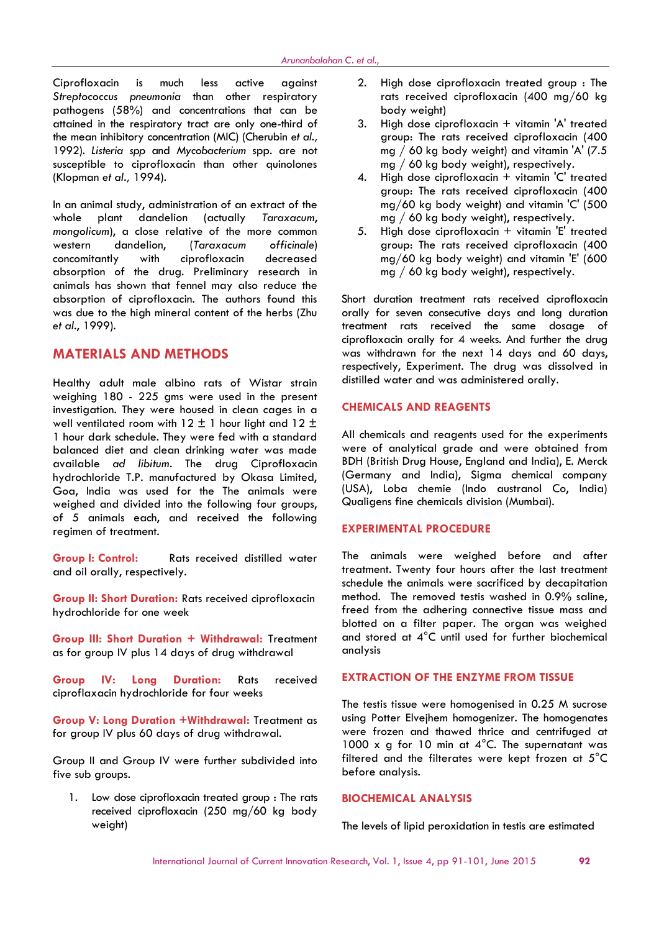Ciprofloxacin is much less active against *Streptococcus pneumonia* than other respiratory pathogens (58%) and concentrations that can be attained in the respiratory tract are only one-third of the mean inhibitory concentration (MIC) (Cherubin *et al.,* 1992). *Listeria spp* and *Mycobacterium* spp. are not susceptible to ciprofloxacin than other quinolones (Klopman *et al.,* 1994).

In an animal study, administration of an extract of the whole plant dandelion (actually *Taraxacum*, *mongolicum*), a close relative of the more common western dandelion, (*Taraxacum officinale*) concomitantly with ciprofloxacin decreased absorption of the drug. Preliminary research in animals has shown that fennel may also reduce the absorption of ciprofloxacin. The authors found this was due to the high mineral content of the herbs (Zhu *et al*., 1999).

# **MATERIALS AND METHODS**

Healthy adult male albino rats of Wistar strain weighing 180 - 225 gms were used in the present investigation. They were housed in clean cages in a well ventilated room with  $12 \pm 1$  hour light and  $12 \pm 1$ 1 hour dark schedule. They were fed with a standard balanced diet and clean drinking water was made available *ad libitum*. The drug Ciprofloxacin hydrochloride T.P. manufactured by Okasa Limited, Goa, India was used for the The animals were weighed and divided into the following four groups, of 5 animals each, and received the following regimen of treatment.

**Group I: Control:** Rats received distilled water and oil orally, respectively.

**Group II: Short Duration:** Rats received ciprofloxacin hydrochloride for one week

**Group III: Short Duration + Withdrawal:** Treatment as for group IV plus 14 days of drug withdrawal

**Group IV: Long Duration:** Rats received ciproflaxacin hydrochloride for four weeks

**Group V: Long Duration +Withdrawal:** Treatment as for group IV plus 60 days of drug withdrawal.

Group II and Group IV were further subdivided into five sub aroups.

1. Low dose ciprofloxacin treated group : The rats received ciprofloxacin (250 mg/60 kg body weight)

- 2. High dose ciprofloxacin treated group : The rats received ciprofloxacin (400 mg/60 kg body weight)
- 3. High dose ciprofloxacin + vitamin 'A' treated group: The rats received ciprofloxacin (400 mg / 60 kg body weight) and vitamin 'A' (7.5 mg / 60 kg body weight), respectively.
- 4. High dose ciprofloxacin + vitamin 'C' treated group: The rats received ciprofloxacin (400 mg/60 kg body weight) and vitamin 'C' (500 mg / 60 kg body weight), respectively.
- 5. High dose ciprofloxacin + vitamin 'E' treated group: The rats received ciprofloxacin (400 mg/60 kg body weight) and vitamin 'E' (600 mg / 60 kg body weight), respectively.

Short duration treatment rats received ciprofloxacin orally for seven consecutive days and long duration treatment rats received the same dosage of ciprofloxacin orally for 4 weeks. And further the drug was withdrawn for the next 14 days and 60 days, respectively, Experiment. The drug was dissolved in distilled water and was administered orally.

## **CHEMICALS AND REAGENTS**

All chemicals and reagents used for the experiments were of analytical grade and were obtained from BDH (British Drug House, England and India), E. Merck (Germany and India), Sigma chemical company (USA), Loba chemie (Indo austranol Co, India) Qualigens fine chemicals division (Mumbai).

## **EXPERIMENTAL PROCEDURE**

The animals were weighed before and after treatment. Twenty four hours after the last treatment schedule the animals were sacrificed by decapitation method. The removed testis washed in 0.9% saline, freed from the adhering connective tissue mass and blotted on a filter paper. The organ was weighed and stored at 4°C until used for further biochemical analysis

#### **EXTRACTION OF THE ENZYME FROM TISSUE**

The testis tissue were homogenised in 0.25 M sucrose using Potter Elvejhem homogenizer. The homogenates were frozen and thawed thrice and centrifuged at 1000 x g for 10 min at  $4^{\circ}$ C. The supernatant was filtered and the filterates were kept frozen at 5°C before analysis.

#### **BIOCHEMICAL ANALYSIS**

The levels of lipid peroxidation in testis are estimated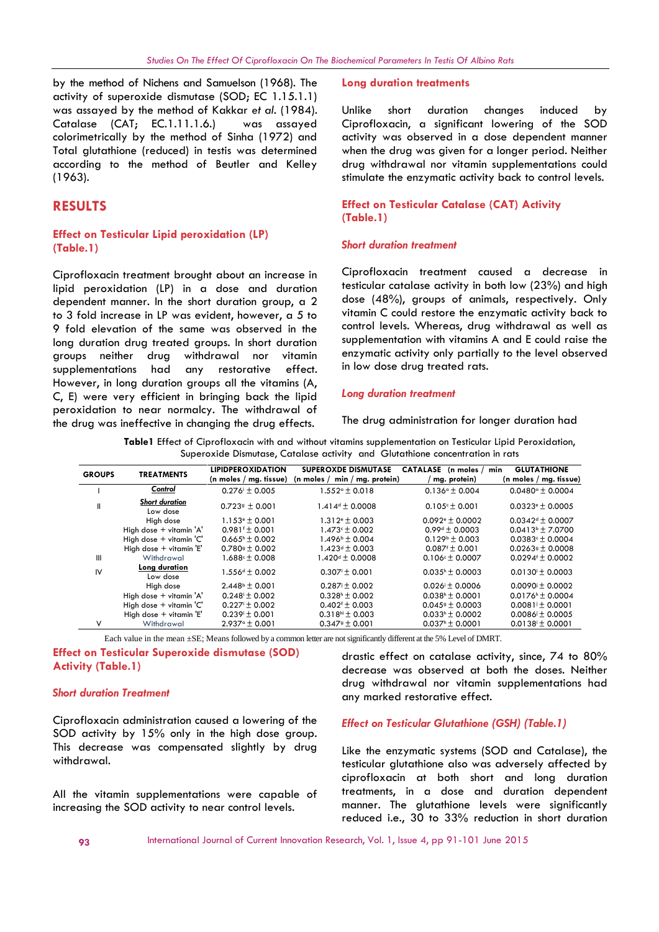by the method of Nichens and Samuelson (1968). The activity of superoxide dismutase (SOD; EC 1.15.1.1) was assayed by the method of Kakkar *et al*. (1984). Catalase (CAT; EC.1.11.1.6.) was assayed colorimetrically by the method of Sinha (1972) and Total glutathione (reduced) in testis was determined according to the method of Beutler and Kelley (1963).

# **RESULTS**

#### **Effect on Testicular Lipid peroxidation (LP) (Table.1)**

Ciprofloxacin treatment brought about an increase in lipid peroxidation (LP) in a dose and duration dependent manner. In the short duration group, a 2 to 3 fold increase in LP was evident, however, a 5 to 9 fold elevation of the same was observed in the long duration drug treated groups. In short duration groups neither drug withdrawal nor vitamin supplementations had any restorative effect. However, in long duration groups all the vitamins (A, C, E) were very efficient in bringing back the lipid peroxidation to near normalcy. The withdrawal of the drug was ineffective in changing the drug effects.

#### **Long duration treatments**

Unlike short duration changes induced by Ciprofloxacin, a significant lowering of the SOD activity was observed in a dose dependent manner when the drug was given for a longer period. Neither drug withdrawal nor vitamin supplementations could stimulate the enzymatic activity back to control levels.

### **Effect on Testicular Catalase (CAT) Activity (Table.1)**

#### *Short duration treatment*

Ciprofloxacin treatment caused a decrease in testicular catalase activity in both low (23%) and high dose (48%), groups of animals, respectively. Only vitamin C could restore the enzymatic activity back to control levels. Whereas, drug withdrawal as well as supplementation with vitamins A and E could raise the enzymatic activity only partially to the level observed in low dose drug treated rats.

#### *Long duration treatment*

The drug administration for longer duration had

**Table1** Effect of Ciprofloxacin with and without vitamins supplementation on Testicular Lipid Peroxidation, Superoxide Dismutase, Catalase activity and Glutathione concentration in rats

| <b>GROUPS</b> | <b>TREATMENTS</b>                 | <b>LIPIDPEROXIDATION</b><br>( $n$ moles / mg. tissue) | <b>SUPEROXDE DISMUTASE</b><br>$min / mg$ . protein)<br>(n moles $/$ | <b>CATALASE</b><br>(n moles $/$<br>mg. protein) | <b>GLUTATHIONE</b><br>min<br>$(n \text{ moles} / \text{mg. tissue})$ |
|---------------|-----------------------------------|-------------------------------------------------------|---------------------------------------------------------------------|-------------------------------------------------|----------------------------------------------------------------------|
|               | Control                           | $0.276 + 0.005$                                       | $1.552$ <sup><math>\circ</math></sup> $\pm$ 0.018                   | $0.136 - 0.004$                                 | $0.0480^{\circ}$ + 0.0004                                            |
| Ш             | <b>Short duration</b><br>Low dose | $0.7239 \pm 0.001$                                    | $1.414 \pm 0.0008$                                                  | $0.105 - \pm 0.001$                             | $0.0323+0.0005$                                                      |
|               | High dose                         | $1.153 \text{°} \pm 0.001$                            | $1.312e \pm 0.003$                                                  | $0.092 + 0.0002$                                | $0.0342d \pm 0.0007$                                                 |
|               | High dose + vitamin 'A'           | $0.981 \pm 0.001$                                     | $1.473 \times 10.002$                                               | $0.99d + 0.0003$                                | $0.0413 \cdot \pm 7.0700$                                            |
|               | High dose + vitamin 'C'           | $0.665h \pm 0.002$                                    | $1.496^{\rm b} \pm 0.004$                                           | $0.129b \pm 0.003$                              | $0.0383 \times \pm 0.0004$                                           |
|               | High dose $+$ vitamin $E'$        | $0.780$ <sup>g</sup> ± 0.002                          | $1.423d \pm 0.003$                                                  | $0.087 \pm 0.001$                               | $0.02639 \pm 0.0008$                                                 |
| Ш             | Withdrawal                        | $1.688c \pm 0.008$                                    | $1.420d + 0.0008$                                                   | $0.106c + 0.0007$                               | $0.0294 + 0.0002$                                                    |
| IV            | <b>Long duration</b><br>Low dose  | $1.556d \pm 0.002$                                    | $0.307 \pm 0.001$                                                   | $0.035h \pm 0.0003$                             | $0.0130 \pm 0.0003$                                                  |
|               | High dose                         | $2.448^{\circ} \pm 0.001$                             | $0.287 \text{ i} \pm 0.002$                                         | $0.026$ <sup>i</sup> ± 0.0006                   | $0.0090$ ± 0.0002                                                    |
|               | High dose + vitamin 'A'           | $0.248 \pm 0.002$                                     | $0.328h \pm 0.002$                                                  | $0.038h \pm 0.0001$                             | $0.0176h \pm 0.0004$                                                 |
|               | High dose + vitamin 'C'           | $0.227 \pm 0.002$                                     | $0.402^{f}$ ± 0.003                                                 | $0.0459 \pm 0.0003$                             | $0.0081 \text{ i} \pm 0.0001$                                        |
|               | High dose + vitamin 'E'           | $0.239 + 0.001$                                       | $0.318$ <sup>hi</sup> ± 0.003                                       | $0.033h \pm 0.0002$                             | $0.0086 \text{ i} \pm 0.0005$                                        |
| V             | Withdrawal                        | $2.937^{\circ}$ + 0.001                               | $0.3479 + 0.001$                                                    | $0.037h + 0.0001$                               | $0.0138 \pm 0.0001$                                                  |

Each value in the mean ±SE; Means followed by a common letter are not significantly different at the 5% Level of DMRT.

**Effect on Testicular Superoxide dismutase (SOD) Activity (Table.1)**

#### *Short duration Treatment*

Ciprofloxacin administration caused a lowering of the SOD activity by 15% only in the high dose group. This decrease was compensated slightly by drug withdrawal.

All the vitamin supplementations were capable of increasing the SOD activity to near control levels.

drastic effect on catalase activity, since, 74 to 80% decrease was observed at both the doses. Neither drug withdrawal nor vitamin supplementations had any marked restorative effect.

## *Effect on Testicular Glutathione (GSH) (Table.1)*

Like the enzymatic systems (SOD and Catalase), the testicular glutathione also was adversely affected by ciprofloxacin at both short and long duration treatments, in a dose and duration dependent manner. The glutathione levels were significantly reduced i.e., 30 to 33% reduction in short duration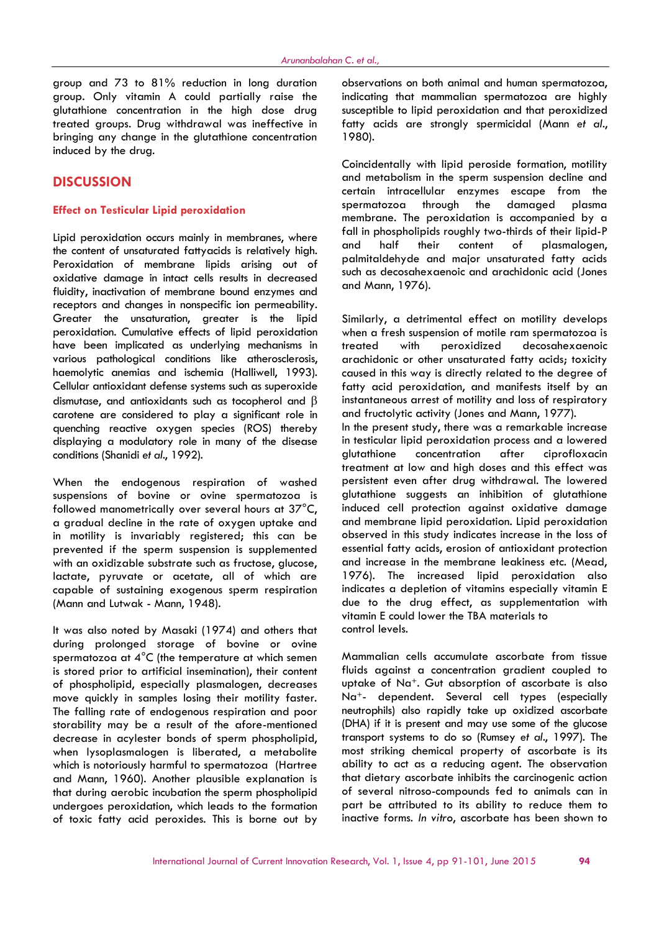group and 73 to 81% reduction in long duration group. Only vitamin A could partially raise the glutathione concentration in the high dose drug treated groups. Drug withdrawal was ineffective in bringing any change in the glutathione concentration induced by the drug.

# **DISCUSSION**

#### **Effect on Testicular Lipid peroxidation**

Lipid peroxidation occurs mainly in membranes, where rain the content of unsaturated fattyacids is relatively high. Peroxidation of membrane lipids arising out of oxidative damage in intact cells results in decreased fluidity, inactivation of membrane bound enzymes and receptors and changes in nonspecific ion permeability. Greater the unsaturation, greater is the lipid peroxidation. Cumulative effects of lipid peroxidation have been implicated as underlying mechanisms in various pathological conditions like atherosclerosis, haemolytic anemias and ischemia (Halliwell, 1993). Cellular antioxidant defense systems such as superoxide dismutase, and antioxidants such as tocopherol and  $\beta$ carotene are considered to play a significant role in quenching reactive oxygen species (ROS) thereby displaying a modulatory role in many of the disease in testicular<br>conditions (Shanidi et al., 1992). conditions (Shanidi *et al*., 1992).

When the endogenous respiration of washed suspensions of bovine or ovine spermatozoa is followed manometrically over several hours at 37°C, a gradual decline in the rate of oxygen uptake and in motility is invariably registered; this can be prevented if the sperm suspension is supplemented with an oxidizable substrate such as fructose, glucose, lactate, pyruvate or acetate, all of which are capable of sustaining exogenous sperm respiration (Mann and Lutwak - Mann, 1948).

It was also noted by Masaki (1974) and others that during prolonged storage of bovine or ovine spermatozoa at 4°C (the temperature at which semen is stored prior to artificial insemination), their content of phospholipid, especially plasmalogen, decreases move quickly in samples losing their motility faster. The falling rate of endogenous respiration and poor storability may be a result of the afore-mentioned decrease in acylester bonds of sperm phospholipid, when lysoplasmalogen is liberated, a metabolite which is notoriously harmful to spermatozoa (Hartree and Mann, 1960). Another plausible explanation is that during aerobic incubation the sperm phospholipid undergoes peroxidation, which leads to the formation of toxic fatty acid peroxides. This is borne out by observations on both animal and human spermatozoa, indicating that mammalian spermatozoa are highly susceptible to lipid peroxidation and that peroxidized fatty acids are strongly spermicidal (Mann *et al*., 1980).

Coincidentally with lipid peroside formation, motility and metabolism in the sperm suspension decline and certain intracellular enzymes escape from the spermatozoa through the damaged plasma membrane. The peroxidation is accompanied by a fall in phospholipids roughly two-thirds of their lipid-P half their content of plasmalogen, palmitaldehyde and major unsaturated fatty acids such as decosahexaenoic and arachidonic acid (Jones and Mann, 1976).

Similarly, a detrimental effect on motility develops when a fresh suspension of motile ram spermatozoa is with peroxidized decosahexaenoic arachidonic or other unsaturated fatty acids; toxicity caused in this way is directly related to the degree of fatty acid peroxidation, and manifests itself by an instantaneous arrest of motility and loss of respiratory and fructolytic activity (Jones and Mann, 1977).

In the present study, there was a remarkable increase in testicular lipid peroxidation process and a lowered concentration after ciprofloxacin treatment at low and high doses and this effect was persistent even after drug withdrawal. The lowered glutathione suggests an inhibition of glutathione induced cell protection against oxidative damage and membrane lipid peroxidation. Lipid peroxidation observed in this study indicates increase in the loss of essential fatty acids, erosion of antioxidant protection and increase in the membrane leakiness etc. (Mead, 1976). The increased lipid peroxidation also indicates a depletion of vitamins especially vitamin E due to the drug effect, as supplementation with vitamin E could lower the TBA materials to control levels.

Mammalian cells accumulate ascorbate from tissue fluids against a concentration gradient coupled to uptake of Na<sup>+</sup>. Gut absorption of ascorbate is also Na<sup>+</sup>- dependent. Several cell types (especially neutrophils) also rapidly take up oxidized ascorbate (DHA) if it is present and may use some of the glucose transport systems to do so (Rumsey *et al*., 1997). The most striking chemical property of ascorbate is its ability to act as a reducing agent. The observation that dietary ascorbate inhibits the carcinogenic action of several nitroso-compounds fed to animals can in part be attributed to its ability to reduce them to inactive forms. *In vitro*, ascorbate has been shown to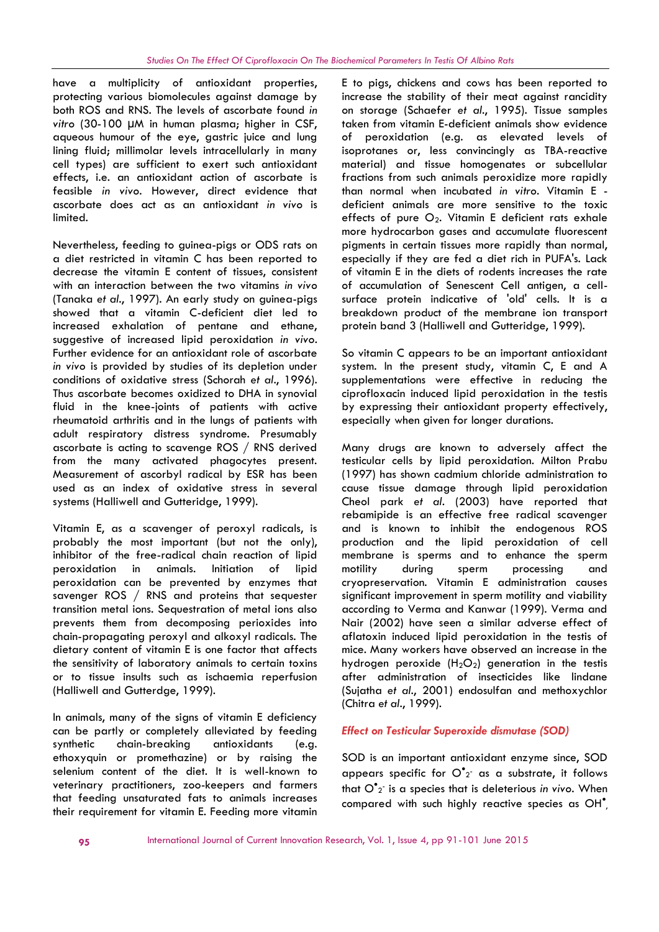have a multiplicity of antioxidant properties, protecting various biomolecules against damage by both ROS and RNS. The levels of ascorbate found *in vitro* (30-100 µM in human plasma; higher in CSF, aqueous humour of the eye, gastric juice and lung lining fluid; millimolar levels intracellularly in many cell types) are sufficient to exert such antioxidant effects, i.e. an antioxidant action of ascorbate is feasible *in vivo*. However, direct evidence that ascorbate does act as an antioxidant *in vivo* is limited.

Nevertheless, feeding to guinea-pigs or ODS rats on a diet restricted in vitamin C has been reported to decrease the vitamin E content of tissues, consistent with an interaction between the two vitamins *in vivo* (Tanaka *et al*., 1997). An early study on guinea-pigs showed that a vitamin C-deficient diet led to increased exhalation of pentane and ethane, suggestive of increased lipid peroxidation *in vivo*. Further evidence for an antioxidant role of ascorbate *in vivo* is provided by studies of its depletion under conditions of oxidative stress (Schorah *et al*., 1996). Thus ascorbate becomes oxidized to DHA in synovial fluid in the knee-joints of patients with active rheumatoid arthritis and in the lungs of patients with adult respiratory distress syndrome. Presumably ascorbate is acting to scavenge ROS / RNS derived from the many activated phagocytes present. Measurement of ascorbyl radical by ESR has been used as an index of oxidative stress in several systems (Halliwell and Gutteridge, 1999).

Vitamin E, as a scavenger of peroxyl radicals, is probably the most important (but not the only), inhibitor of the free-radical chain reaction of lipid peroxidation in animals. Initiation of lipid peroxidation can be prevented by enzymes that savenger ROS / RNS and proteins that sequester transition metal ions. Sequestration of metal ions also prevents them from decomposing perioxides into chain-propagating peroxyl and alkoxyl radicals. The dietary content of vitamin E is one factor that affects the sensitivity of laboratory animals to certain toxins or to tissue insults such as ischaemia reperfusion (Halliwell and Gutterdge, 1999).

In animals, many of the signs of vitamin E deficiency can be partly or completely alleviated by feeding synthetic chain-breaking antioxidants (e.g. ethoxyquin or promethazine) or by raising the selenium content of the diet. It is well-known to veterinary practitioners, zoo-keepers and farmers that feeding unsaturated fats to animals increases their requirement for vitamin E. Feeding more vitamin E to pigs, chickens and cows has been reported to increase the stability of their meat against rancidity on storage (Schaefer *et al*., 1995). Tissue samples taken from vitamin E-deficient animals show evidence of peroxidation (e.g. as elevated levels of isoprotanes or, less convincingly as TBA-reactive material) and tissue homogenates or subcellular fractions from such animals peroxidize more rapidly than normal when incubated *in vitro*. Vitamin E deficient animals are more sensitive to the toxic effects of pure  $O_2$ . Vitamin E deficient rats exhale more hydrocarbon gases and accumulate fluorescent pigments in certain tissues more rapidly than normal, especially if they are fed a diet rich in PUFA's. Lack of vitamin E in the diets of rodents increases the rate of accumulation of Senescent Cell antigen, a cellsurface protein indicative of 'old' cells. It is a breakdown product of the membrane ion transport protein band 3 (Halliwell and Gutteridge, 1999).

So vitamin C appears to be an important antioxidant system. In the present study, vitamin C, E and A supplementations were effective in reducing the ciprofloxacin induced lipid peroxidation in the testis by expressing their antioxidant property effectively, especially when given for longer durations.

Many drugs are known to adversely affect the testicular cells by lipid peroxidation. Milton Prabu (1997) has shown cadmium chloride administration to cause tissue damage through lipid peroxidation Cheol park *et al*. (2003) have reported that rebamipide is an effective free radical scavenger and is known to inhibit the endogenous ROS production and the lipid peroxidation of cell membrane is sperms and to enhance the sperm during sperm processing and cryopreservation. Vitamin E administration causes significant improvement in sperm motility and viability according to Verma and Kanwar (1999). Verma and Nair (2002) have seen a similar adverse effect of aflatoxin induced lipid peroxidation in the testis of mice. Many workers have observed an increase in the hydrogen peroxide  $(H_2O_2)$  generation in the testis after administration of insecticides like lindane (Sujatha *et al*., 2001) endosulfan and methoxychlor (Chitra *et al*., 1999).

## *Effect on Testicular Superoxide dismutase (SOD)*

SOD is an important antioxidant enzyme since, SOD appears specific for  $\overline{\mathrm{O}}^\bullet_{2}$  as a substrate, it follows that O<sup>•</sup><sub>2</sub><sup>-</sup> is a species that is deleterious *in vivo*. When compared with such highly reactive species as OH ,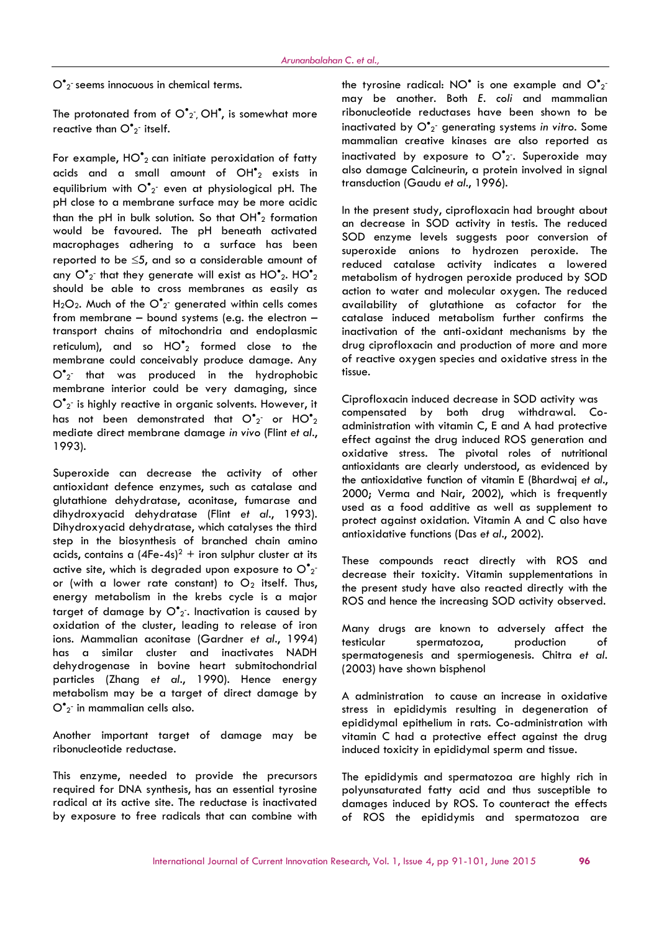$\mathsf{O}^\bullet$ 2<sup>-</sup> seems innocuous in chemical terms.

The protonated from of O<sup>\*</sup>2<sup>-</sup>, OH<sup>\*</sup>, is somewhat more stibor reactive than  $\mathsf{O}^\bullet_{2}$  itself.

For example,  $HO^{\bullet}$ <sub>2</sub> can initiate peroxidation of fatty acids and a small amount of  $OH<sup>*</sup><sub>2</sub>$  exists in equilibrium with O<sup>•</sup>2<sup>-</sup> even at physiological pH. The <sup>trans</sup> pH close to a membrane surface may be more acidic than the pH in bulk solution. So that  $OH<sup>2</sup><sub>2</sub>$  formation would be favoured. The pH beneath activated macrophages adhering to a surface has been reported to be  $\leq 5$ , and so a considerable amount of any  $O^{\bullet}$ <sub>2</sub> that they generate will exist as  $HO^{\bullet}$ <sub>2</sub>. HO $^{\bullet}$ <sub>2</sub> m should be able to cross membranes as easily as  $H_2O_2$ . Much of the  $O^{\bullet}$  generated within cells comes a from membrane – bound systems (e.g. the electron – transport chains of mitochondria and endoplasmic reticulum), and so  $HO^{\bullet}{}_{2}$  formed close to the membrane could conceivably produce damage. Any  $O^{\bullet}$ <sub>2</sub> that was produced in the hydrophobic  $f$  tis: membrane interior could be very damaging, since  $\overline{\mathrm{O}}^\bullet$ 2<sup>-</sup> is highly reactive in organic solvents. However, it has not been demonstrated that O $^{\bullet}$ <sub>2</sub> or HO $^{\bullet}$ <sub>2</sub>  $^{\circ}$ mediate direct membrane damage *in vivo* (Flint *et al*., 1993).

Superoxide can decrease the activity of other antioxidant defence enzymes, such as catalase and glutathione dehydratase, aconitase, fumarase and dihydroxyacid dehydratase (Flint *et al*., 1993). Dihydroxyacid dehydratase, which catalyses the third step in the biosynthesis of branched chain amino acids, contains a  $(4Fe-4s)^2$  + iron sulphur cluster at its active site, which is degraded upon exposure to  $O^{\bullet_2}$  and or (with a lower rate constant) to  $O_2$  itself. Thus, energy metabolism in the krebs cycle is a major target of damage by  $O^{\bullet}{}_{2}$ . Inactivation is caused by oxidation of the cluster, leading to release of iron ions. Mammalian aconitase (Gardner *et al*., 1994) has a similar cluster and inactivates NADH dehydrogenase in bovine heart submitochondrial particles (Zhang *et al*., 1990). Hence energy metabolism may be a target of direct damage by  $\overline{\mathrm{O}}^\bullet$ 2<sup>-</sup> in mammalian cells also.

Another important target of damage may be ribonucleotide reductase.

This enzyme, needed to provide the precursors required for DNA synthesis, has an essential tyrosine radical at its active site. The reductase is inactivated by exposure to free radicals that can combine with

the tyrosine radical: NO $^{\bullet}$  is one example and O $^{\bullet}{}_{2}^{-}$ may be another. Both *E. coli* and mammalian ribonucleotide reductases have been shown to be inactivated by O<sup>•</sup>2<sup>-</sup> generating systems *in vitr*o. Some mammalian creative kinases are also reported as inactivated by exposure to  $\mathsf{O}^\bullet_2$ . Superoxide may also damage Calcineurin, a protein involved in signal transduction (Gaudu *et al*., 1996).

In the present study, ciprofloxacin had brought about an decrease in SOD activity in testis. The reduced SOD enzyme levels suggests poor conversion of superoxide anions to hydrozen peroxide. The reduced catalase activity indicates a lowered metabolism of hydrogen peroxide produced by SOD action to water and molecular oxygen. The reduced availability of glutathione as cofactor for the catalase induced metabolism further confirms the inactivation of the anti-oxidant mechanisms by the drug ciprofloxacin and production of more and more of reactive oxygen species and oxidative stress in the tissue.

Ciprofloxacin induced decrease in SOD activity was compensated by both drug withdrawal. Co administration with vitamin C, E and A had protective effect against the drug induced ROS generation and oxidative stress. The pivotal roles of nutritional antioxidants are clearly understood, as evidenced by the antioxidative function of vitamin E (Bhardwaj *et al.*, 2000; Verma and Nair, 2002), which is frequently used as a food additive as well as supplement to protect against oxidation. Vitamin A and C also have antioxidative functions (Das *et al*., 2002).

These compounds react directly with ROS and decrease their toxicity. Vitamin supplementations in the present study have also reacted directly with the ROS and hence the increasing SOD activity observed.

Many drugs are known to adversely affect the spermatozoa, production of spermatogenesis and spermiogenesis. Chitra *et al*. (2003) have shown bisphenol

A administration to cause an increase in oxidative stress in epididymis resulting in degeneration of epididymal epithelium in rats. Co-administration with vitamin C had a protective effect against the drug induced toxicity in epididymal sperm and tissue.

The epididymis and spermatozoa are highly rich in polyunsaturated fatty acid and thus susceptible to damages induced by ROS. To counteract the effects of ROS the epididymis and spermatozoa are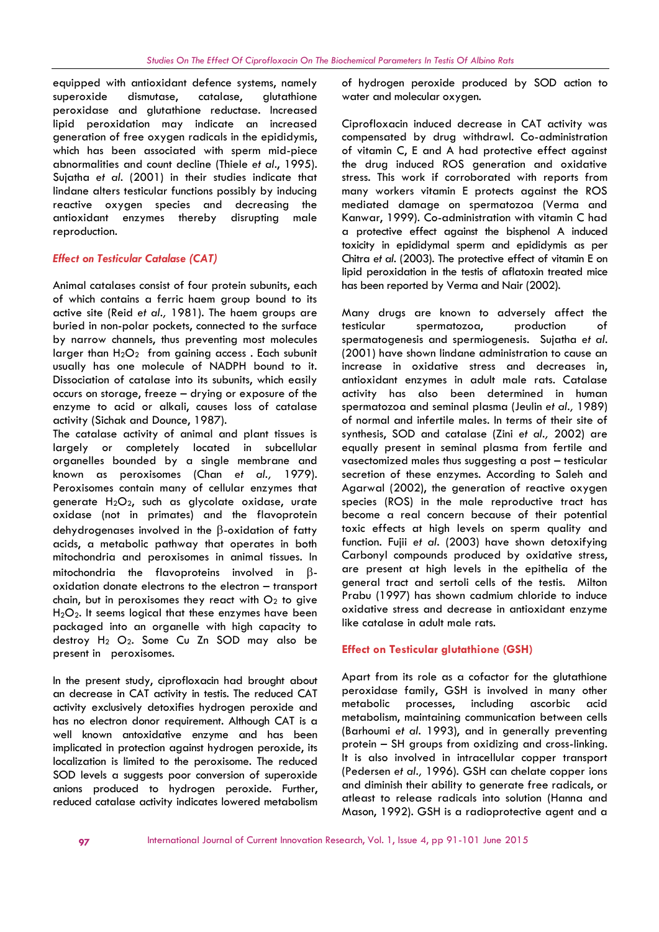equipped with antioxidant defence systems, namely superoxide dismutase, catalase, glutathione peroxidase and glutathione reductase. Increased lipid peroxidation may indicate an increased generation of free oxygen radicals in the epididymis, which has been associated with sperm mid-piece abnormalities and count decline (Thiele *et al*., 1995). Sujatha *et al*. (2001) in their studies indicate that lindane alters testicular functions possibly by inducing reactive oxygen species and decreasing the antioxidant enzymes thereby disrupting male reproduction.

## *Effect on Testicular Catalase (CAT)*

Animal catalases consist of four protein subunits, each of which contains a ferric haem group bound to its active site (Reid *et al.,* 1981). The haem groups are buried in non-polar pockets, connected to the surface by narrow channels, thus preventing most molecules larger than  $H_2O_2$  from gaining access. Each subunit usually has one molecule of NADPH bound to it. Dissociation of catalase into its subunits, which easily occurs on storage, freeze – drying or exposure of the enzyme to acid or alkali, causes loss of catalase activity (Sichak and Dounce, 1987).

The catalase activity of animal and plant tissues is largely or completely located in subcellular organelles bounded by a single membrane and known as peroxisomes (Chan *et al.,* 1979). Peroxisomes contain many of cellular enzymes that generate H<sub>2</sub>O<sub>2</sub>, such as glycolate oxidase, urate oxidase (not in primates) and the flavoprotein dehydrogenases involved in the  $\beta$ -oxidation of fatty acids, a metabolic pathway that operates in both mitochondria and peroxisomes in animal tissues. In mitochondria the flavoproteins involved in  $\beta$ oxidation donate electrons to the electron – transport chain, but in peroxisomes they react with  $O<sub>2</sub>$  to give  $H<sub>2</sub>O<sub>2</sub>$ . It seems logical that these enzymes have been packaged into an organelle with high capacity to destroy H<sub>2</sub> O<sub>2</sub>. Some Cu Zn SOD may also be present in peroxisomes.

In the present study, ciprofloxacin had brought about an decrease in CAT activity in testis. The reduced CAT activity exclusively detoxifies hydrogen peroxide and has no electron donor requirement. Although CAT is a well known antoxidative enzyme and has been implicated in protection against hydrogen peroxide, its localization is limited to the peroxisome. The reduced SOD levels a suggests poor conversion of superoxide anions produced to hydrogen peroxide. Further, reduced catalase activity indicates lowered metabolism

of hydrogen peroxide produced by SOD action to water and molecular oxygen.

Ciprofloxacin induced decrease in CAT activity was compensated by drug withdrawl. Co-administration of vitamin C, E and A had protective effect against the drug induced ROS generation and oxidative stress. This work if corroborated with reports from many workers vitamin E protects against the ROS mediated damage on spermatozoa (Verma and Kanwar, 1999). Co-administration with vitamin C had a protective effect against the bisphenol A induced toxicity in epididymal sperm and epididymis as per Chitra *et al.* (2003). The protective effect of vitamin E on lipid peroxidation in the testis of aflatoxin treated mice has been reported by Verma and Nair (2002).

Many drugs are known to adversely affect the spermatozoa, production of spermatogenesis and spermiogenesis. Sujatha *et al.* (2001) have shown lindane administration to cause an increase in oxidative stress and decreases in, antioxidant enzymes in adult male rats. Catalase activity has also been determined in human spermatozoa and seminal plasma (Jeulin *et al.,* 1989) of normal and infertile males. In terms of their site of synthesis, SOD and catalase (Zini *et al.,* 2002) are equally present in seminal plasma from fertile and vasectomized males thus suggesting a post – testicular secretion of these enzymes. According to Saleh and Agarwal (2002), the generation of reactive oxygen species (ROS) in the male reproductive tract has become a real concern because of their potential toxic effects at high levels on sperm quality and function. Fujii *et al.* (2003) have shown detoxifying Carbonyl compounds produced by oxidative stress, are present at high levels in the epithelia of the general tract and sertoli cells of the testis. Milton Prabu (1997) has shown cadmium chloride to induce oxidative stress and decrease in antioxidant enzyme like catalase in adult male rats.

## **Effect on Testicular glutathione (GSH)**

Apart from its role as a cofactor for the glutathione peroxidase family, GSH is involved in many other metabolic processes, including ascorbic acid metabolism, maintaining communication between cells (Barhoumi *et al.* 1993), and in generally preventing protein – SH groups from oxidizing and cross-linking. It is also involved in intracellular copper transport (Pedersen *et al.,* 1996). GSH can chelate copper ions and diminish their ability to generate free radicals, or atleast to release radicals into solution (Hanna and Mason, 1992). GSH is a radioprotective agent and a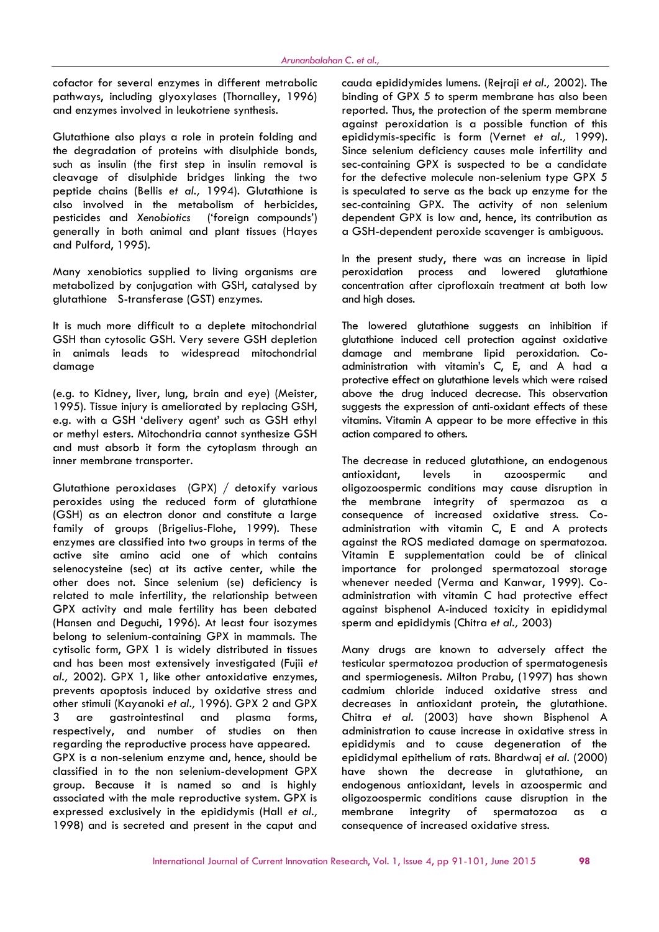cofactor for several enzymes in different metrabolic pathways, including glyoxylases (Thornalley, 1996) and enzymes involved in leukotriene synthesis.

Glutathione also plays a role in protein folding and the degradation of proteins with disulphide bonds, such as insulin (the first step in insulin removal is cleavage of disulphide bridges linking the two peptide chains (Bellis *et al.,* 1994). Glutathione is also involved in the metabolism of herbicides, pesticides and *Xenobiotics* ('foreign compounds') generally in both animal and plant tissues (Hayes and Pulford, 1995).

Many xenobiotics supplied to living organisms are metabolized by conjugation with GSH, catalysed by glutathione S-transferase (GST) enzymes.

It is much more difficult to a deplete mitochondrial GSH than cytosolic GSH. Very severe GSH depletion in animals leads to widespread mitochondrial damage

(e.g. to Kidney, liver, lung, brain and eye) (Meister, 1995). Tissue injury is ameliorated by replacing GSH, e.g. with a GSH 'delivery agent' such as GSH ethyl or methyl esters. Mitochondria cannot synthesize GSH and must absorb it form the cytoplasm through an inner membrane transporter.

Glutathione peroxidases (GPX) / detoxify various peroxides using the reduced form of glutathione (GSH) as an electron donor and constitute a large family of groups (Brigelius-Flohe, 1999). These enzymes are classified into two groups in terms of the active site amino acid one of which contains selenocysteine (sec) at its active center, while the other does not. Since selenium (se) deficiency is related to male infertility, the relationship between GPX activity and male fertility has been debated (Hansen and Deguchi, 1996). At least four isozymes belong to selenium-containing GPX in mammals. The cytisolic form, GPX 1 is widely distributed in tissues and has been most extensively investigated (Fujii *et al.,* 2002). GPX 1, like other antoxidative enzymes, prevents apoptosis induced by oxidative stress and other stimuli (Kayanoki *et al.,* 1996). GPX 2 and GPX 3 are gastrointestinal and plasma forms, respectively, and number of studies on then regarding the reproductive process have appeared. GPX is a non-selenium enzyme and, hence, should be classified in to the non selenium-development GPX group. Because it is named so and is highly associated with the male reproductive system. GPX is expressed exclusively in the epididymis (Hall *et al.,* 1998) and is secreted and present in the caput and

cauda epididymides lumens. (Rejraji *et al.,* 2002). The binding of GPX 5 to sperm membrane has also been reported. Thus, the protection of the sperm membrane against peroxidation is a possible function of this epididymis-specific is form (Vernet *et al.,* 1999). Since selenium deficiency causes male infertility and sec-containing GPX is suspected to be a candidate for the defective molecule non-selenium type GPX 5 is speculated to serve as the back up enzyme for the sec-containing GPX. The activity of non selenium dependent GPX is low and, hence, its contribution as a GSH-dependent peroxide scavenger is ambiguous.

In the present study, there was an increase in lipid peroxidation process and lowered glutathione concentration after ciprofloxain treatment at both low and high doses.

The lowered glutathione suggests an inhibition if glutathione induced cell protection against oxidative damage and membrane lipid peroxidation. Co administration with vitamin's C, E, and A had a protective effect on glutathione levels which were raised above the drug induced decrease. This observation suggests the expression of anti-oxidant effects of these vitamins. Vitamin A appear to be more effective in this action compared to others.

The decrease in reduced glutathione, an endogenous antioxidant, levels in azoospermic and oligozoospermic conditions may cause disruption in the membrane integrity of spermazoa as a consequence of increased oxidative stress. Co administration with vitamin C, E and A protects against the ROS mediated damage on spermatozoa. Vitamin E supplementation could be of clinical importance for prolonged spermatozoal storage whenever needed (Verma and Kanwar, 1999). Co administration with vitamin C had protective effect against bisphenol A-induced toxicity in epididymal sperm and epididymis (Chitra *et al.,* 2003)

Many drugs are known to adversely affect the testicular spermatozoa production of spermatogenesis and spermiogenesis. Milton Prabu, (1997) has shown cadmium chloride induced oxidative stress and decreases in antioxidant protein, the glutathione. Chitra *et al.* (2003) have shown Bisphenol A administration to cause increase in oxidative stress in epididymis and to cause degeneration of the epididymal epithelium of rats. Bhardwaj *et al.* (2000) have shown the decrease in glutathione, an endogenous antioxidant, levels in azoospermic and oligozoospermic conditions cause disruption in the integrity of spermatozoa as a consequence of increased oxidative stress.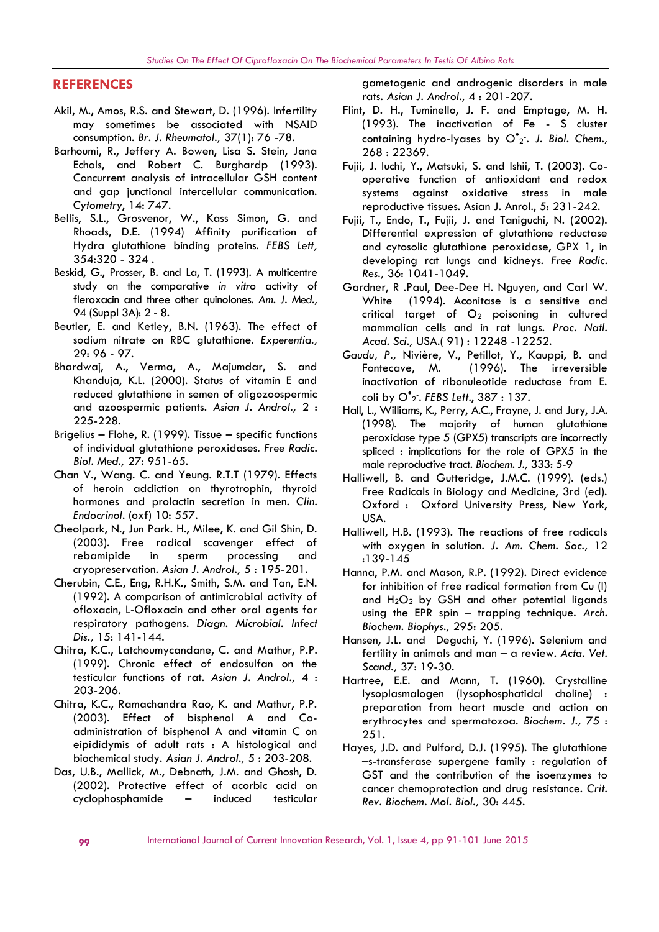## **REFERENCES**

- Akil, M., Amos, R.S. and Stewart, D. (1996). Infertility may sometimes be associated with NSAID consumption. *Br. J. Rheumatol.,* 37(1): 76 -78.
- Barhoumi, R., Jeffery A. Bowen, Lisa S. Stein, Jana Echols, and Robert C. Burghardp (1993). Concurrent analysis of intracellular GSH content and gap junctional intercellular communication. *Cytometry*, 14: 747.
- Bellis, S.L., Grosvenor, W., Kass Simon, G. and Rhoads, D.E. (1994) Affinity purification of Hydra glutathione binding proteins. *FEBS Lett,* 354:320 - 324 .
- Beskid, G., Prosser, B. and La, T. (1993). A multicentre study on the comparative *in vitro* activity of fleroxacin and three other quinolones. *Am. J. Med.,* 94 (Suppl 3A): 2 - 8.
- Beutler, E. and Ketley, B.N. (1963). The effect of sodium nitrate on RBC glutathione. *Experentia.,* 29: 96 - 97.
- Bhardwaj, A., Verma, A., Majumdar, S. and Khanduja, K.L. (2000). Status of vitamin E and reduced glutathione in semen of oligozoospermic and azoospermic patients. *Asian J. Androl.,* 2 : 225-228.
- Brigelius Flohe, R. (1999). Tissue specific functions of individual glutathione peroxidases. *Free Radic. Biol. Med.,* 27: 951-65.
- Chan V., Wang. C. and Yeung. R.T.T (1979). Effects of heroin addiction on thyrotrophin, thyroid hormones and prolactin secretion in men. *Clin. Endocrinol.* (oxf) 10: 557.
- Cheolpark, N., Jun Park. H., Milee, K. and Gil Shin, D. (2003). Free radical scavenger effect of rebamipide in sperm processing and cryopreservation. *Asian J. Androl.,* 5 : 195-201.
- Cherubin, C.E., Eng, R.H.K., Smith, S.M. and Tan, E.N. (1992). A comparison of antimicrobial activity of ofloxacin, L-Ofloxacin and other oral agents for respiratory pathogens. *Diagn. Microbial. Infect Dis.,* 15: 141-144.
- Chitra, K.C., Latchoumycandane, C. and Mathur, P.P. (1999). Chronic effect of endosulfan on the testicular functions of rat. *Asian J. Androl.,* 4 : 203-206.
- Chitra, K.C., Ramachandra Rao, K. and Mathur, P.P. (2003). Effect of bisphenol A and Co administration of bisphenol A and vitamin C on eipididymis of adult rats : A histological and biochemical study. *Asian J. Androl.,* 5 : 203-208.
- Das, U.B., Mallick, M., Debnath, J.M. and Ghosh, D. (2002). Protective effect of acorbic acid on cyclophosphamide – induced testicular

gametogenic and androgenic disorders in male rats. *Asian J. Androl.,* 4 : 201-207.

- Flint, D. H., Tuminello, J. F. and Emptage, M. H. (1993). The inactivation of Fe - S cluster containing hydro-lyases by O<sup>\*</sup>2. J. Biol. Chem., 268 : 22369.
- Fujii, J. Iuchi, Y., Matsuki, S. and Ishii, T. (2003). Co operative function of antioxidant and redox systems against oxidative stress in male reproductive tissues. Asian J. Anrol., 5: 231-242.
- Fujii, T., Endo, T., Fujii, J. and Taniguchi, N. (2002). Differential expression of glutathione reductase and cytosolic glutathione peroxidase, GPX 1, in developing rat lungs and kidneys. *Free Radic. Res.,* 36: 1041-1049.
- Gardner, R .Paul, Dee-Dee H. Nguyen, and Carl W. White (1994). Aconitase is a sensitive and critical target of  $O_2$  poisoning in cultured mammalian cells and in rat lungs. *Proc. Natl. Acad. Sci.,* USA.( 91) : 12248 -12252.
- *Gaudu, P.,* Nivière, V., Petillot, Y., Kauppi, B. and (1996). The irreversible inactivation of ribonuleotide reductase from E. coli by O<sup>•</sup>2<sup>-</sup>. *FEBS Lett.*, 387 : 137.
- Hall, L., Williams, K., Perry, A.C., Frayne, J. and Jury, J.A. (1998). The majority of human glutathione peroxidase type 5 (GPX5) transcripts are incorrectly spliced : implications for the role of GPX5 in the male reproductive tract. *Biochem. J.,* 333: 5-9
- Halliwell, B. and Gutteridge, J.M.C. (1999). (eds.) Free Radicals in Biology and Medicine, 3rd (ed). Oxford : Oxford University Press, New York, USA.
- Halliwell, H.B. (1993). The reactions of free radicals with oxygen in solution. *J. Am. Chem. Soc.,* 12 :139-145
- Hanna, P.M. and Mason, R.P. (1992). Direct evidence for inhibition of free radical formation from Cu (I) and  $H_2O_2$  by GSH and other potential ligands using the EPR spin – trapping technique. *Arch. Biochem. Biophys.,* 295: 205.
- Hansen, J.L. and Deguchi, Y. (1996). Selenium and fertility in animals and man – a review. *Acta. Vet. Scand.,* 37: 19-30.
- Hartree, E.E. and Mann, T. (1960). Crystalline lysoplasmalogen (lysophosphatidal choline) : preparation from heart muscle and action on erythrocytes and spermatozoa. *Biochem. J.,* 75 : 251.
- Hayes, J.D. and Pulford, D.J. (1995). The glutathione –s-transferase supergene family : regulation of GST and the contribution of the isoenzymes to cancer chemoprotection and drug resistance. *Crit. Rev. Biochem. Mol. Biol.,* 30: 445.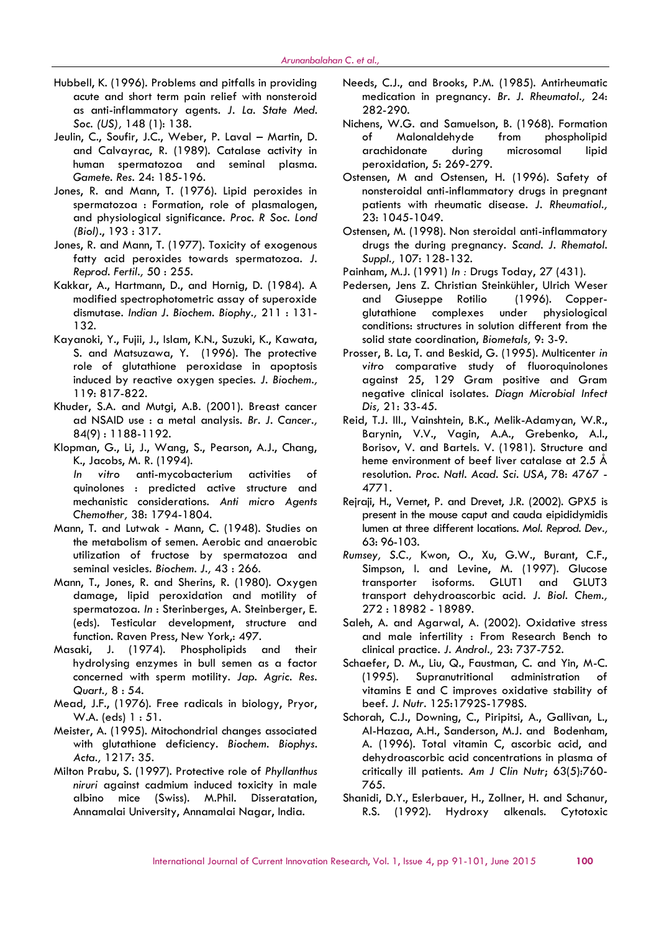- Hubbell, K. (1996). Problems and pitfalls in providing acute and short term pain relief with nonsteroid as anti-inflammatory agents. *J. La. State Med. Soc. (US),* 148 (1): 138.
- Jeulin, C., Soufir, J.C., Weber, P. Laval Martin, D. and Calvayrac, R. (1989). Catalase activity in human spermatozoa and seminal plasma. *Gamete. Res.* 24: 185-196.
- Jones, R. and Mann, T. (1976). Lipid peroxides in spermatozoa : Formation, role of plasmalogen, and physiological significance. *Proc. R Soc. Lond (Biol)*., 193 : 317.
- Jones, R. and Mann, T. (1977). Toxicity of exogenous fatty acid peroxides towards spermatozoa. *J. Reprod. Fertil.,* 50 : 255.
- Kakkar, A., Hartmann, D., and Hornig, D. (1984). A modified spectrophotometric assay of superoxide dismutase. *Indian J. Biochem. Biophy.,* 211 : 131- 132.
- Kayanoki, Y., Fujii, J., Islam, K.N., Suzuki, K., Kawata, S. and Matsuzawa, Y. (1996). The protective role of glutathione peroxidase in apoptosis induced by reactive oxygen species. *J. Biochem.,* 119: 817-822.
- Khuder, S.A. and Mutgi, A.B. (2001). Breast cancer ad NSAID use : a metal analysis. *Br. J. Cancer.,* 84(9) : 1188-1192.
- Klopman, G., Li, J., Wang, S., Pearson, A.J., Chang, K., Jacobs, M. R. (1994). *In vitro* anti-mycobacterium activities of quinolones : predicted active structure and

mechanistic considerations. *Anti micro Agents Chemother,* 38: 1794-1804.

- Mann, T. and Lutwak Mann, C. (1948). Studies on the metabolism of semen. Aerobic and anaerobic utilization of fructose by spermatozoa and seminal vesicles. *Biochem. J.,* 43 : 266.
- Mann, T., Jones, R. and Sherins, R. (1980). Oxygen damage, lipid peroxidation and motility of spermatozoa. *In* : Sterinberges, A. Steinberger, E. (eds). Testicular development, structure and function. Raven Press, New York,: 497.
- Masaki, J. (1974). Phospholipids and their hydrolysing enzymes in bull semen as a factor concerned with sperm motility. *Jap. Agric. Res. Quart.,* 8 : 54.
- Mead, J.F., (1976). Free radicals in biology, Pryor, W.A. (eds) 1 : 51.
- Meister, A. (1995). Mitochondrial changes associated with glutathione deficiency. *Biochem. Biophys. Acta.,* 1217: 35.
- Milton Prabu, S. (1997). Protective role of *Phyllanthus niruri* against cadmium induced toxicity in male albino mice (Swiss). M.Phil. Disseratation, Annamalai University, Annamalai Nagar, India.
- Needs, C.J., and Brooks, P.M. (1985). Antirheumatic medication in pregnancy. *Br. J. Rheumatol.,* 24: 282-290.
- Nichens, W.G. and Samuelson, B. (1968). Formation of Malonaldehyde from arachidonate during microsomal lipid peroxidation, 5: 269-279.
- Ostensen, M and Ostensen, H. (1996). Safety of nonsteroidal anti-inflammatory drugs in pregnant patients with rheumatic disease. *J. Rheumatiol.,* 23: 1045-1049.
- Ostensen, M. (1998). Non steroidal anti-inflammatory drugs the during pregnancy. *Scand. J. Rhematol. Suppl.,* 107: 128-132.
- Painham, M.J. (1991) *In :* Drugs Today, 27 (431).
- Pedersen, Jens Z. Christian Steinkühler, Ulrich Weser Giuseppe Rotilio (1996). Copperglutathione complexes under physiological conditions: structures in solution different from the solid state coordination, *Biometals,* 9: 3-9.
- Prosser, B. La, T. and Beskid, G. (1995). Multicenter *in vitro* comparative study of fluoroquinolones against 25, 129 Gram positive and Gram negative clinical isolates. *Diagn Microbial Infect Dis,* 21: 33-45.
- Reid, T.J. III., Vainshtein, B.K., Melik-Adamyan, W.R., Barynin, V.V., Vagin, A.A., Grebenko, A.I., Borisov, V. and Bartels. V. (1981). Structure and heme environment of beef liver catalase at 2.5 Å resolution. *Proc. Natl. Acad. Sci. USA*, 78: 4767 - 4771.
- Rejraji, H., Vernet, P. and Drevet, J.R. (2002). GPX5 is present in the mouse caput and cauda eipididymidis lumen at three different locations. *Mol. Reprod. Dev.,* 63: 96-103.
- *Rumsey, S.C.,* Kwon, O., Xu, G.W., Burant, C.F., Simpson, I. and Levine, M. (1997). Glucose transporter isoforms. GLUT1 and GLUT3 transport dehydroascorbic acid. *J. Biol. Chem.,* 272 : 18982 - 18989.
- Saleh, A. and Agarwal, A. (2002). Oxidative stress and male infertility : From Research Bench to clinical practice. *J. Androl.,* 23: 737-752.
- Schaefer, D. M., Liu, Q., Faustman, C. and Yin, M-C. (1995). Supranutritional administration of vitamins E and C improves oxidative stability of beef. *J. Nutr*. 125:1792S-1798S.
- Schorah, C.J., Downing, C., Piripitsi, A., Gallivan, L., Al-Hazaa, A.H., Sanderson, M.J. and Bodenham, A. (1996). Total vitamin C, ascorbic acid, and dehydroascorbic acid concentrations in plasma of critically ill patients. *Am J Clin Nutr*; 63(5):760- 765.
- Shanidi, D.Y., Eslerbauer, H., Zollner, H. and Schanur, R.S. (1992). Hydroxy alkenals. Cytotoxic